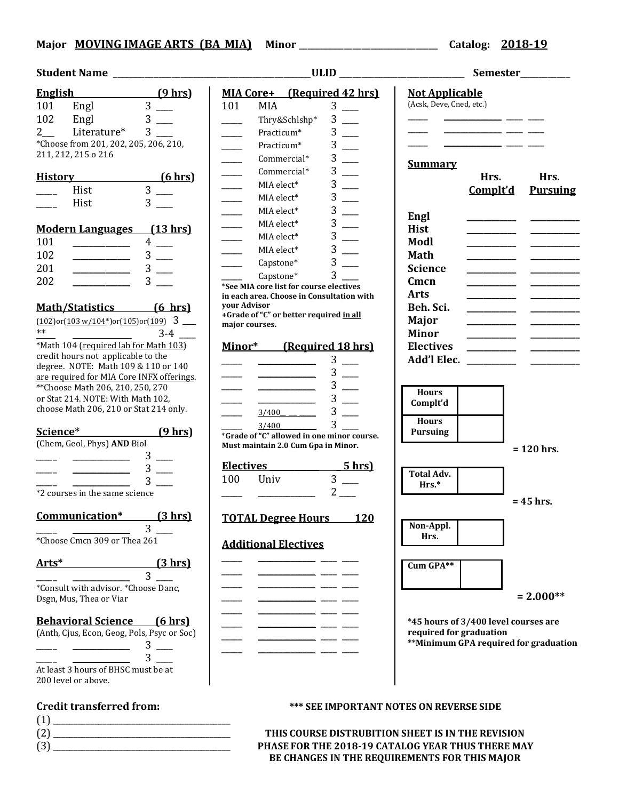# **Major MOVING IMAGE ARTS (BA\_MIA) Minor** \_\_\_\_\_\_\_\_\_\_\_\_\_\_\_\_\_\_\_\_\_\_\_\_\_\_\_\_\_\_\_ **Catalog: 2018-19**

## **Student Name** \_\_\_\_\_\_\_\_\_\_\_\_\_\_\_\_\_\_\_\_\_\_\_\_\_\_\_\_\_\_\_\_\_\_\_\_\_\_\_\_\_\_\_\_**ULID** \_\_\_\_\_\_\_\_\_\_\_\_\_\_\_\_\_\_\_\_\_\_\_\_\_\_\_\_ **Semester**\_\_\_\_\_\_\_\_\_\_\_

| English        |                                                                                                                                                                                                                                                                                                                                                                                                                                                                                             |   | (9 hrs)         |
|----------------|---------------------------------------------------------------------------------------------------------------------------------------------------------------------------------------------------------------------------------------------------------------------------------------------------------------------------------------------------------------------------------------------------------------------------------------------------------------------------------------------|---|-----------------|
| 101 Engl       |                                                                                                                                                                                                                                                                                                                                                                                                                                                                                             | 3 |                 |
| 102 Engl       |                                                                                                                                                                                                                                                                                                                                                                                                                                                                                             | 3 |                 |
|                | 2____ Literature*                                                                                                                                                                                                                                                                                                                                                                                                                                                                           | 3 |                 |
|                | *Choose from 201, 202, 205, 206, 210,                                                                                                                                                                                                                                                                                                                                                                                                                                                       |   |                 |
|                | 211, 212, 215 o 216                                                                                                                                                                                                                                                                                                                                                                                                                                                                         |   |                 |
| <u>History</u> |                                                                                                                                                                                                                                                                                                                                                                                                                                                                                             |   | <u>(6 hrs)</u>  |
|                | Hist                                                                                                                                                                                                                                                                                                                                                                                                                                                                                        | 3 |                 |
|                | Hist                                                                                                                                                                                                                                                                                                                                                                                                                                                                                        | 3 |                 |
|                |                                                                                                                                                                                                                                                                                                                                                                                                                                                                                             |   |                 |
|                | <b>Modern Languages</b>                                                                                                                                                                                                                                                                                                                                                                                                                                                                     |   | <u>(13 hrs)</u> |
| 101            |                                                                                                                                                                                                                                                                                                                                                                                                                                                                                             | 4 |                 |
| 102            |                                                                                                                                                                                                                                                                                                                                                                                                                                                                                             | 3 |                 |
| 201            |                                                                                                                                                                                                                                                                                                                                                                                                                                                                                             | 3 |                 |
| 202            |                                                                                                                                                                                                                                                                                                                                                                                                                                                                                             |   |                 |
|                |                                                                                                                                                                                                                                                                                                                                                                                                                                                                                             |   |                 |
|                | Math/Statistics (6 hrs)                                                                                                                                                                                                                                                                                                                                                                                                                                                                     |   |                 |
| $**$           | $(102)$ or $(103 w/104*)$ or $(105)$ or $(109)$ 3                                                                                                                                                                                                                                                                                                                                                                                                                                           |   | $3 - 4$         |
|                | $\sqrt{\frac{1}{2}$ Math 104 (required lab for Math 103)                                                                                                                                                                                                                                                                                                                                                                                                                                    |   |                 |
|                | credit hours not applicable to the                                                                                                                                                                                                                                                                                                                                                                                                                                                          |   |                 |
|                | degree. NOTE: Math 109 & 110 or 140                                                                                                                                                                                                                                                                                                                                                                                                                                                         |   |                 |
|                | are required for MIA Core INFX offerings.                                                                                                                                                                                                                                                                                                                                                                                                                                                   |   |                 |
|                | ** Choose Math 206, 210, 250, 270                                                                                                                                                                                                                                                                                                                                                                                                                                                           |   |                 |
|                | or Stat 214. NOTE: With Math 102,                                                                                                                                                                                                                                                                                                                                                                                                                                                           |   |                 |
|                | choose Math 206, 210 or Stat 214 only.                                                                                                                                                                                                                                                                                                                                                                                                                                                      |   |                 |
| Science*       |                                                                                                                                                                                                                                                                                                                                                                                                                                                                                             |   | <u>(9 hrs)</u>  |
|                | (Chem, Geol, Phys) AND Biol                                                                                                                                                                                                                                                                                                                                                                                                                                                                 |   |                 |
|                |                                                                                                                                                                                                                                                                                                                                                                                                                                                                                             | 3 |                 |
|                |                                                                                                                                                                                                                                                                                                                                                                                                                                                                                             | 3 |                 |
|                |                                                                                                                                                                                                                                                                                                                                                                                                                                                                                             |   |                 |
|                | *2 courses in the same science                                                                                                                                                                                                                                                                                                                                                                                                                                                              |   |                 |
|                | Communication*                                                                                                                                                                                                                                                                                                                                                                                                                                                                              |   | (3 hrs)         |
|                |                                                                                                                                                                                                                                                                                                                                                                                                                                                                                             | 3 |                 |
|                | *Choose Cmcn 309 or Thea 261                                                                                                                                                                                                                                                                                                                                                                                                                                                                |   |                 |
| Arts*          |                                                                                                                                                                                                                                                                                                                                                                                                                                                                                             |   | <u>(3 hrs)</u>  |
|                |                                                                                                                                                                                                                                                                                                                                                                                                                                                                                             | 3 |                 |
|                | *Consult with advisor. *Choose Danc,<br>Dsgn, Mus, Thea or Viar                                                                                                                                                                                                                                                                                                                                                                                                                             |   |                 |
|                | <b>Behavioral Science</b> (6 hrs)                                                                                                                                                                                                                                                                                                                                                                                                                                                           |   |                 |
|                | (Anth, Cjus, Econ, Geog, Pols, Psyc or Soc)                                                                                                                                                                                                                                                                                                                                                                                                                                                 |   |                 |
|                | $\begin{tabular}{l} \multicolumn{3}{c} {\textbf{1}}\\ \multicolumn{3}{c} {\textbf{2}}\\ \multicolumn{3}{c} {\textbf{3}}\\ \multicolumn{3}{c} {\textbf{4}}\\ \multicolumn{3}{c} {\textbf{5}}\\ \multicolumn{3}{c} {\textbf{6}}\\ \multicolumn{3}{c} {\textbf{6}}\\ \multicolumn{3}{c} {\textbf{7}}\\ \multicolumn{3}{c} {\textbf{8}}\\ \multicolumn{3}{c} {\textbf{9}}\\ \multicolumn{3}{c} {\textbf{1}}\\ \multicolumn{3}{c} {\textbf{1}}\\ \multicolumn{3}{c} {\textbf{1}}\\ \multicolumn$ |   | $3 \equiv$      |
|                |                                                                                                                                                                                                                                                                                                                                                                                                                                                                                             |   |                 |
|                | At least 3 hours of BHSC must be at<br>200 level or above.                                                                                                                                                                                                                                                                                                                                                                                                                                  |   |                 |
|                |                                                                                                                                                                                                                                                                                                                                                                                                                                                                                             |   |                 |

| (1) |  |  |  |
|-----|--|--|--|
| (2) |  |  |  |
| (3) |  |  |  |

| English (9 hrs)<br>MIA Core+ (Required 42 hrs)<br><b>Not Applicable</b><br>Engl $3 \rightarrow 3$<br>(Acsk, Deve, Cned, etc.)<br>$3 \quad \qquad$<br>101<br>101<br>MIA<br>$3 -$<br>102<br>Engl<br>$3$ —<br>Thry&Schlshp*<br>Literature* 3<br>$\mathbf{2}$<br>$3 \_$<br>Practicum*<br>*Choose from 201, 202, 205, 206, 210,<br>$3$ —<br><u> 1989 - Andrea Andrew Maria (h. 19</u><br>Practicum*<br>$\overline{\phantom{a}}$<br>211, 212, 215 o 216<br>$3$ —<br>Commercial*<br>$\overline{\phantom{a}}$<br><b>Summary</b><br>$3$ —<br>Commercial*<br>$\frac{1}{1}$<br>History (6 hrs)<br>Hrs.<br>Hrs.<br>$3$ —<br>MIA elect*<br>$\overline{3}$ $\overline{\phantom{2}}$<br>Hist<br>Complt'd<br>$3 \_$<br>MIA elect*<br>$3$ —<br>Hist<br>$3$ —<br>MIA elect*<br>Engl<br>$3$ —<br>MIA elect*<br><b>Modern Languages</b> (13 hrs)<br><b>Hist</b><br>3<br>MIA elect*<br>$\overline{\phantom{a}}$<br>$4$ —<br>101<br>Modl<br>$3$ —<br>$\sim$<br>MIA elect*<br>102<br>$3$ —<br><b>Math</b><br>$3$ —<br>$\frac{1}{2}$<br>Capstone*<br>$3$ —<br>201<br><b>Science</b><br>$\begin{tabular}{ccccc} \multicolumn{2}{c }{\textbf{1} & \multicolumn{2}{c }{\textbf{2} & \multicolumn{2}{c }{\textbf{3} & \multicolumn{2}{c }{\textbf{4} & \multicolumn{2}{c }{\textbf{5} & \multicolumn{2}{c }{\textbf{6} & \multicolumn{2}{c }{\textbf{6} & \multicolumn{2}{c }{\textbf{6} & \multicolumn{2}{c }{\textbf{6} & \multicolumn{2}{c }{\textbf{6} & \multicolumn{2}{c }{\textbf{6} & \multicolumn{2}{c }{\textbf{6} & \multicolumn{2}{$<br>$3^{\circ}$<br>Capstone*<br>$3 \quad \blacksquare$<br>202<br>Cmcn<br>*See MIA core list for course electives<br><b>Arts</b><br>in each area. Choose in Consultation with<br>your Advisor<br>Math/Statistics [6 hrs]<br>Beh. Sci.<br>+Grade of "C" or better required in all<br>Major<br>$\frac{(102) \text{or} (103 \text{ w}/104^*) \text{or} (105) \text{or} (109)}{3}$<br>major courses.<br><b>Minor</b><br>*Math 104 (required lab for Math 103)<br>Minor* (Required 18 hrs)<br><b>Electives</b><br>credit hours not applicable to the<br>$3$ —<br>degree. NOTE: Math 109 & 110 or 140<br>$3 \quad \qquad$<br>are required for MIA Core INFX offerings.<br>$3$ —<br>** Choose Math 206, 210, 250, 270<br><b>Hours</b><br>$3$ —<br>or Stat 214. NOTE: With Math 102,<br>Complt'd<br>choose Math 206, 210 or Stat 214 only.<br>$3$ —<br><b>Hours</b><br>$3^{\circ}$<br>$\frac{3}{400}$<br>Science* (9 hrs)<br><b>Pursuing</b><br>*Grade of "C" allowed in one minor course.<br>(Chem, Geol, Phys) AND Biol<br>Must maintain 2.0 Cum Gpa in Minor.<br>$= 120$ hrs.<br>$3$ —<br>Electives 5hrs<br>$3 -$<br><b>Total Adv.</b><br>$3$ __<br>100<br>Univ<br>$3 -$<br>Hrs.*<br>$2\overline{)}$<br>*2 courses in the same science<br>$= 45$ hrs.<br>(3 hrs)<br>Communication*<br><b>TOTAL Degree Hours</b> 120<br>Non-Appl.<br>3<br>Hrs.<br>*Choose Cmcn 309 or Thea 261<br><b>Additional Electives</b><br>Arts*<br>(3 hr)<br>Cum GPA**<br>3<br>*Consult with advisor. *Choose Danc,<br>$= 2.000**$<br>Dsgn, Mus, Thea or Viar<br><b>Behavioral Science</b><br><u>(6 hrs)</u><br>*45 hours of 3/400 level courses are<br>required for graduation<br>(Anth, Cjus, Econ, Geog, Pols, Psyc or Soc)<br>3<br>3<br>At least 3 hours of BHSC must be at<br>200 level or above. | _ULID __________________________ | Semester_________                     |
|--------------------------------------------------------------------------------------------------------------------------------------------------------------------------------------------------------------------------------------------------------------------------------------------------------------------------------------------------------------------------------------------------------------------------------------------------------------------------------------------------------------------------------------------------------------------------------------------------------------------------------------------------------------------------------------------------------------------------------------------------------------------------------------------------------------------------------------------------------------------------------------------------------------------------------------------------------------------------------------------------------------------------------------------------------------------------------------------------------------------------------------------------------------------------------------------------------------------------------------------------------------------------------------------------------------------------------------------------------------------------------------------------------------------------------------------------------------------------------------------------------------------------------------------------------------------------------------------------------------------------------------------------------------------------------------------------------------------------------------------------------------------------------------------------------------------------------------------------------------------------------------------------------------------------------------------------------------------------------------------------------------------------------------------------------------------------------------------------------------------------------------------------------------------------------------------------------------------------------------------------------------------------------------------------------------------------------------------------------------------------------------------------------------------------------------------------------------------------------------------------------------------------------------------------------------------------------------------------------------------------------------------------------------------------------------------------------------------------------------------------------------------------------------------------------------------------------------------------------------------------------------------------------------------------------------------------------------------------------------------------------------------------------------------------------------------------------------------------------------------------------------------------------------------------------------------------------------------------------------------------------------------------------------------|----------------------------------|---------------------------------------|
|                                                                                                                                                                                                                                                                                                                                                                                                                                                                                                                                                                                                                                                                                                                                                                                                                                                                                                                                                                                                                                                                                                                                                                                                                                                                                                                                                                                                                                                                                                                                                                                                                                                                                                                                                                                                                                                                                                                                                                                                                                                                                                                                                                                                                                                                                                                                                                                                                                                                                                                                                                                                                                                                                                                                                                                                                                                                                                                                                                                                                                                                                                                                                                                                                                                                                            |                                  | <b>Pursuing</b>                       |
|                                                                                                                                                                                                                                                                                                                                                                                                                                                                                                                                                                                                                                                                                                                                                                                                                                                                                                                                                                                                                                                                                                                                                                                                                                                                                                                                                                                                                                                                                                                                                                                                                                                                                                                                                                                                                                                                                                                                                                                                                                                                                                                                                                                                                                                                                                                                                                                                                                                                                                                                                                                                                                                                                                                                                                                                                                                                                                                                                                                                                                                                                                                                                                                                                                                                                            |                                  |                                       |
| <b>Credit transferred from:</b><br><b>*** SEE IMPORTANT NOTES ON REVERSE SIDE</b>                                                                                                                                                                                                                                                                                                                                                                                                                                                                                                                                                                                                                                                                                                                                                                                                                                                                                                                                                                                                                                                                                                                                                                                                                                                                                                                                                                                                                                                                                                                                                                                                                                                                                                                                                                                                                                                                                                                                                                                                                                                                                                                                                                                                                                                                                                                                                                                                                                                                                                                                                                                                                                                                                                                                                                                                                                                                                                                                                                                                                                                                                                                                                                                                          |                                  | **Minimum GPA required for graduation |

(2) \_\_\_\_\_\_\_\_\_\_\_\_\_\_\_\_\_\_\_\_\_\_\_\_\_\_\_\_\_\_\_\_\_\_\_\_\_\_\_\_\_\_\_ **THIS COURSE DISTRUBITION SHEET IS IN THE REVISION**  (3) \_\_\_\_\_\_\_\_\_\_\_\_\_\_\_\_\_\_\_\_\_\_\_\_\_\_\_\_\_\_\_\_\_\_\_\_\_\_\_\_\_\_\_ **PHASE FOR THE 2018-19 CATALOG YEAR THUS THERE MAY BE CHANGES IN THE REQUIREMENTS FOR THIS MAJOR**